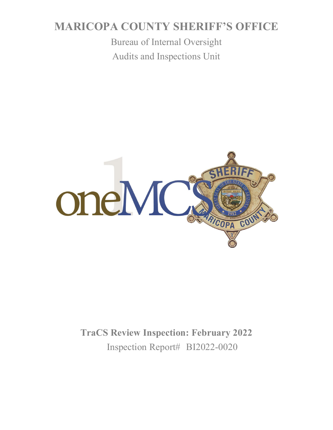# **MARICOPA COUNTY SHERIFF'S OFFICE**

Bureau of Internal Oversight Audits and Inspections Unit



**TraCS Review Inspection: February 2022** Inspection Report# BI2022-0020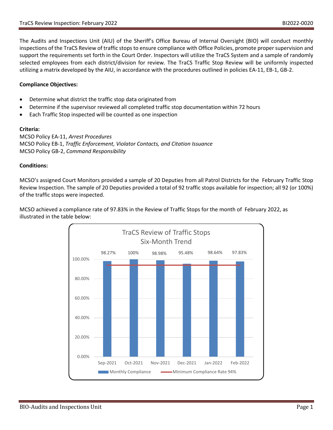The Audits and Inspections Unit (AIU) of the Sheriff's Office Bureau of Internal Oversight (BIO) will conduct monthly inspections of the TraCS Review of traffic stops to ensure compliance with Office Policies, promote proper supervision and support the requirements set forth in the Court Order. Inspectors will utilize the TraCS System and a sample of randomly selected employees from each district/division for review. The TraCS Traffic Stop Review will be uniformly inspected utilizing a matrix developed by the AIU, in accordance with the procedures outlined in policies EA-11, EB-1, GB-2.

#### **Compliance Objectives:**

- Determine what district the traffic stop data originated from
- Determine if the supervisor reviewed all completed traffic stop documentation within 72 hours
- Each Traffic Stop inspected will be counted as one inspection

#### **Criteria:**

MCSO Policy EA-11, *Arrest Procedures* MCSO Policy EB-1, *Traffic Enforcement, Violator Contacts, and Citation Issuance* MCSO Policy GB-2, *Command Responsibility*

#### **Conditions:**

MCSO's assigned Court Monitors provided a sample of 20 Deputies from all Patrol Districts for the February Traffic Stop Review Inspection. The sample of 20 Deputies provided a total of 92 traffic stops available for inspection; all 92 (or 100%) of the traffic stops were inspected.

MCSO achieved a compliance rate of 97.83% in the Review of Traffic Stops for the month of February 2022, as illustrated in the table below:

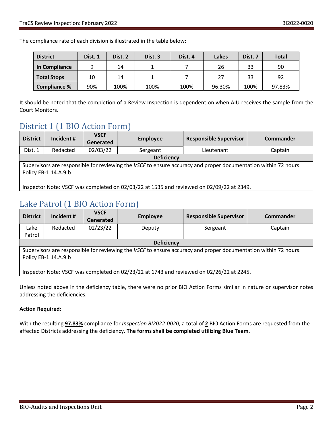The compliance rate of each division is illustrated in the table below:

| <b>District</b>     | Dist. 1 | Dist. 2 | Dist. 3 | Dist. 4 | Lakes  | Dist. 7 | <b>Total</b> |
|---------------------|---------|---------|---------|---------|--------|---------|--------------|
| In Compliance       |         | 14      |         |         | 26     | 33      | 90           |
| <b>Total Stops</b>  | 10      | 14      |         |         | 27     | 33      | 92           |
| <b>Compliance %</b> | 90%     | 100%    | 100%    | 100%    | 96.30% | 100%    | 97.83%       |

It should be noted that the completion of a Review Inspection is dependent on when AIU receives the sample from the Court Monitors.

### District 1 (1 BIO Action Form)

| <b>District</b>                                                                                                                         | Incident # | <b>VSCF</b><br>Generated | <b>Employee</b> | <b>Responsible Supervisor</b> | Commander |  |
|-----------------------------------------------------------------------------------------------------------------------------------------|------------|--------------------------|-----------------|-------------------------------|-----------|--|
| Dist. 1                                                                                                                                 | Redacted   | 02/03/22                 | Sergeant        | Lieutenant                    | Captain   |  |
| <b>Deficiency</b>                                                                                                                       |            |                          |                 |                               |           |  |
| Supervisors are responsible for reviewing the VSCF to ensure accuracy and proper documentation within 72 hours.<br>Policy EB-1.14.A.9.b |            |                          |                 |                               |           |  |
| Inspector Note: VSCF was completed on 02/03/22 at 1535 and reviewed on 02/09/22 at 2349.                                                |            |                          |                 |                               |           |  |

## Lake Patrol (1 BIO Action Form)

| <b>District</b>                                                                                                 | Incident # | <b>VSCF</b><br>Generated | <b>Employee</b> | <b>Responsible Supervisor</b> | <b>Commander</b> |  |
|-----------------------------------------------------------------------------------------------------------------|------------|--------------------------|-----------------|-------------------------------|------------------|--|
| Lake                                                                                                            | Redacted   | 02/23/22                 | Deputy          | Sergeant                      | Captain          |  |
| Patrol                                                                                                          |            |                          |                 |                               |                  |  |
| <b>Deficiency</b>                                                                                               |            |                          |                 |                               |                  |  |
| Supervisors are responsible for reviewing the VSCF to ensure accuracy and proper documentation within 72 hours. |            |                          |                 |                               |                  |  |
| Policy EB-1.14.A.9.b                                                                                            |            |                          |                 |                               |                  |  |
|                                                                                                                 |            |                          |                 |                               |                  |  |
| Inspector Note: VSCF was completed on 02/23/22 at 1743 and reviewed on 02/26/22 at 2245.                        |            |                          |                 |                               |                  |  |

Unless noted above in the deficiency table, there were no prior BIO Action Forms similar in nature or supervisor notes addressing the deficiencies.

#### **Action Required:**

With the resulting **97.83%** compliance for *Inspection BI2022-0020,* a total of **2** BIO Action Forms are requested from the affected Districts addressing the deficiency. **The forms shall be completed utilizing Blue Team.**